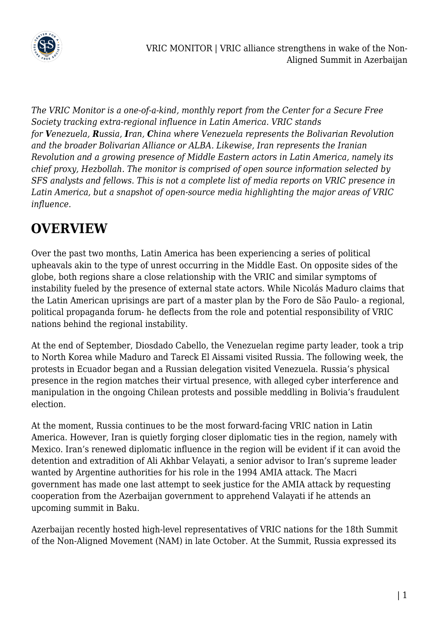

*The VRIC Monitor is a one-of-a-kind, monthly report from the Center for a Secure Free Society tracking extra-regional influence in Latin America. VRIC stands for Venezuela, Russia, Iran, China where Venezuela represents the Bolivarian Revolution and the broader Bolivarian Alliance or ALBA. Likewise, Iran represents the Iranian Revolution and a growing presence of Middle Eastern actors in Latin America, namely its chief proxy, Hezbollah. The monitor is comprised of open source information selected by SFS analysts and fellows. This is not a complete list of media reports on VRIC presence in Latin America, but a snapshot of open-source media highlighting the major areas of VRIC influence.*

# **OVERVIEW**

Over the past two months, Latin America has been experiencing a series of political upheavals akin to the type of unrest occurring in the Middle East. On opposite sides of the globe, both regions share a close relationship with the VRIC and similar symptoms of instability fueled by the presence of external state actors. While Nicolás Maduro claims that the Latin American uprisings are part of a master plan by the Foro de São Paulo- a regional, political propaganda forum- he deflects from the role and potential responsibility of VRIC nations behind the regional instability.

At the end of September, Diosdado Cabello, the Venezuelan regime party leader, took a trip to North Korea while Maduro and Tareck El Aissami visited Russia. The following week, the protests in Ecuador began and a Russian delegation visited Venezuela. Russia's physical presence in the region matches their virtual presence, with alleged cyber interference and manipulation in the ongoing Chilean protests and possible meddling in Bolivia's fraudulent election.

At the moment, Russia continues to be the most forward-facing VRIC nation in Latin America. However, Iran is quietly forging closer diplomatic ties in the region, namely with Mexico. Iran's renewed diplomatic influence in the region will be evident if it can avoid the detention and extradition of Ali Akhbar Velayati, a senior advisor to Iran's supreme leader wanted by Argentine authorities for his role in the 1994 AMIA attack. The Macri government has made one last attempt to seek justice for the AMIA attack by requesting cooperation from the Azerbaijan government to apprehend Valayati if he attends an upcoming summit in Baku.

Azerbaijan recently hosted high-level representatives of VRIC nations for the 18th Summit of the Non-Aligned Movement (NAM) in late October. At the Summit, Russia expressed its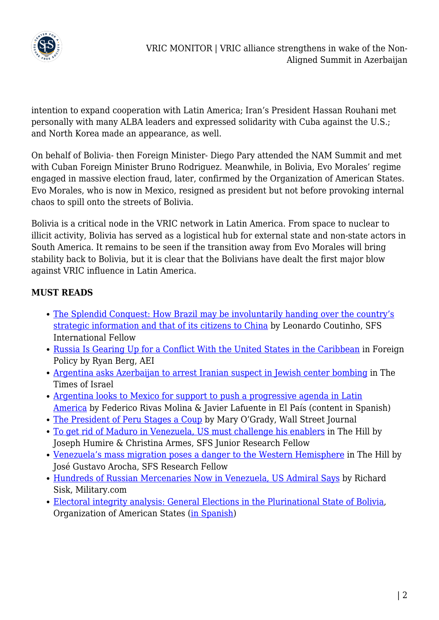

intention to expand cooperation with Latin America; Iran's President Hassan Rouhani met personally with many ALBA leaders and expressed solidarity with Cuba against the U.S.; and North Korea made an appearance, as well.

On behalf of Bolivia- then Foreign Minister- Diego Pary attended the NAM Summit and met with Cuban Foreign Minister Bruno Rodriguez. Meanwhile, in Bolivia, Evo Morales' regime engaged in massive election fraud, later, confirmed by the Organization of American States. Evo Morales, who is now in Mexico, resigned as president but not before provoking internal chaos to spill onto the streets of Bolivia.

Bolivia is a critical node in the VRIC network in Latin America. From space to nuclear to illicit activity, Bolivia has served as a logistical hub for external state and non-state actors in South America. It remains to be seen if the transition away from Evo Morales will bring stability back to Bolivia, but it is clear that the Bolivians have dealt the first major blow against VRIC influence in Latin America.

### **MUST READS**

- [The Splendid Conquest: How Brazil may be involuntarily handing over the country's](https://www.securefreesociety.org/research/a-conquista-esplendida-the-splendid-conquest-executive-summary/) [strategic information and that of its citizens to China](https://www.securefreesociety.org/research/a-conquista-esplendida-the-splendid-conquest-executive-summary/) by Leonardo Coutinho, SFS International Fellow
- [Russia Is Gearing Up for a Conflict With the United States in the Caribbean](https://foreignpolicy.com/2019/10/09/russias-putin-venezuela-evade-oil-sanctions-preparing-conflict-united-states/) in Foreign Policy by Ryan Berg, AEI
- [Argentina asks Azerbaijan to arrest Iranian suspect in Jewish center bombing](https://www.timesofisrael.com/argentina-asks-azerbaijan-to-arrest-iranian-suspect-in-jewish-center-bombing/) in The Times of Israel
- [Argentina looks to Mexico for support to push a progressive agenda in Latin](https://elpais.com/internacional/2019/11/03/argentina/1572800666_317061.html?utm_source=Today+in+Latin+America&utm_campaign=c95cf3aa7f-EMAIL_CAMPAIGN_2019_11_04_01_03&utm_medium=email&utm_term=0_73d76ad46b-c95cf3aa7f-101968427) [America](https://elpais.com/internacional/2019/11/03/argentina/1572800666_317061.html?utm_source=Today+in+Latin+America&utm_campaign=c95cf3aa7f-EMAIL_CAMPAIGN_2019_11_04_01_03&utm_medium=email&utm_term=0_73d76ad46b-c95cf3aa7f-101968427) by Federico Rivas Molina & Javier Lafuente in El País (content in Spanish)
- [The President of Peru Stages a Coup](https://www.wsj.com/articles/the-president-of-peru-stages-a-coup-11570393957) by Mary O'Grady, Wall Street Journal
- [To get rid of Maduro in Venezuela, US must challenge his enablers](https://thehill.com/opinion/international/464012-to-get-rid-of-maduro-in-venezuela-us-must-challenge-his-enablers) in The Hill by Joseph Humire & Christina Armes, SFS Junior Research Fellow
- [Venezuela's mass migration poses a danger to the Western Hemisphere](https://thehill.com/opinion/international/469228-venezuelas-mass-migration-poses-a-danger-to-the-western-hemisphere) in The Hill by José Gustavo Arocha, SFS Research Fellow
- [Hundreds of Russian Mercenaries Now in Venezuela, US Admiral Says](https://www.military.com/daily-news/2019/10/04/hundreds-russian-mercenaries-now-venezuela-us-admiral-says.html) by Richard Sisk, Military.com
- [Electoral integrity analysis: General Elections in the Plurinational State of Bolivia,](http://www.oas.org/documents/eng/press/Electoral-Integrity-Analysis-Bolivia2019.pdf) Organization of American States ([in Spanish](http://www.oas.org/documents/spa/press/Informe-Auditoria-Bolivia-2019.pdf))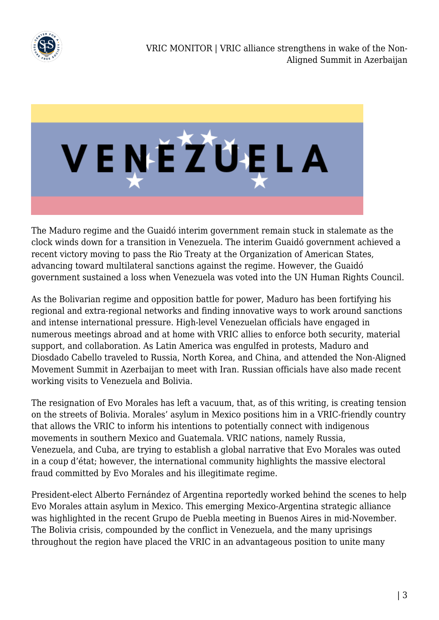

VRIC MONITOR | VRIC alliance strengthens in wake of the Non-Aligned Summit in Azerbaijan



The Maduro regime and the Guaidó interim government remain stuck in stalemate as the clock winds down for a transition in Venezuela. The interim Guaidó government achieved a recent victory moving to pass the Rio Treaty at the Organization of American States, advancing toward multilateral sanctions against the regime. However, the Guaidó government sustained a loss when Venezuela was voted into the UN Human Rights Council.

As the Bolivarian regime and opposition battle for power, Maduro has been fortifying his regional and extra-regional networks and finding innovative ways to work around sanctions and intense international pressure. High-level Venezuelan officials have engaged in numerous meetings abroad and at home with VRIC allies to enforce both security, material support, and collaboration. As Latin America was engulfed in protests, Maduro and Diosdado Cabello traveled to Russia, North Korea, and China, and attended the Non-Aligned Movement Summit in Azerbaijan to meet with Iran. Russian officials have also made recent working visits to Venezuela and Bolivia.

The resignation of Evo Morales has left a vacuum, that, as of this writing, is creating tension on the streets of Bolivia. Morales' asylum in Mexico positions him in a VRIC-friendly country that allows the VRIC to inform his intentions to potentially connect with indigenous movements in southern Mexico and Guatemala. VRIC nations, namely Russia, Venezuela, and Cuba, are trying to establish a global narrative that Evo Morales was outed in a coup d'état; however, the international community highlights the massive electoral fraud committed by Evo Morales and his illegitimate regime.

President-elect Alberto Fernández of Argentina reportedly worked behind the scenes to help Evo Morales attain asylum in Mexico. This emerging Mexico-Argentina strategic alliance was highlighted in the recent Grupo de Puebla meeting in Buenos Aires in mid-November. The Bolivia crisis, compounded by the conflict in Venezuela, and the many uprisings throughout the region have placed the VRIC in an advantageous position to unite many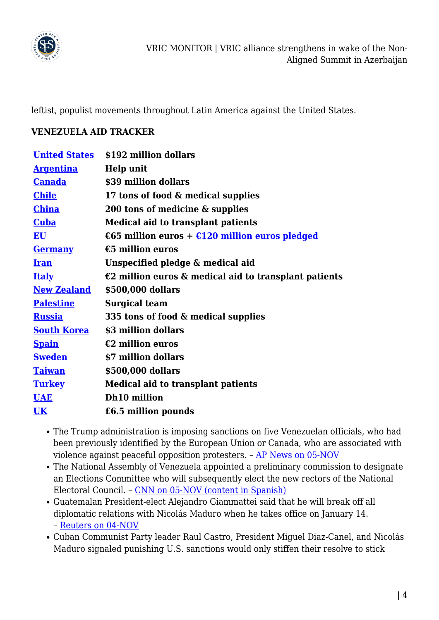

leftist, populist movements throughout Latin America against the United States.

#### **VENEZUELA AID TRACKER**

| <u><b>United States</b></u>       | \$192 million dollars                                           |
|-----------------------------------|-----------------------------------------------------------------|
| <b>Argentina</b>                  | Help unit                                                       |
| <b>Canada</b>                     | \$39 million dollars                                            |
| <b>Chile</b>                      | 17 tons of food & medical supplies                              |
| <b>China</b>                      | 200 tons of medicine & supplies                                 |
| <b>Cuba</b>                       | <b>Medical aid to transplant patients</b>                       |
| $\mathbf{E}\mathbf{U}$            | €65 million euros + $£120$ million euros pledged                |
| <b>Germany</b>                    | €5 million euros                                                |
| <b>Iran</b>                       | Unspecified pledge & medical aid                                |
| <b>Italy</b>                      | $\epsilon$ 2 million euros & medical aid to transplant patients |
| <b>New Zealand</b>                | \$500,000 dollars                                               |
| <b>Palestine</b>                  | <b>Surgical team</b>                                            |
| <b>Russia</b>                     | 335 tons of food & medical supplies                             |
| <b>South Korea</b>                | \$3 million dollars                                             |
| <b>Spain</b>                      | €2 million euros                                                |
| <b>Sweden</b>                     | \$7 million dollars                                             |
| <b>Taiwan</b>                     | \$500,000 dollars                                               |
| <b>Turkey</b>                     | <b>Medical aid to transplant patients</b>                       |
| <b>UAE</b>                        | Dh10 million                                                    |
| $\overline{\mathbf{U}}\mathbf{K}$ | £6.5 million pounds                                             |

- The Trump administration is imposing sanctions on five Venezuelan officials, who had been previously identified by the European Union or Canada, who are associated with violence against peaceful opposition protesters. – [AP News on 05-NOV](https://apnews.com/ef08869946f3451387a3f9cf9e75c23e?utm_source=Today+in+Latin+America&utm_campaign=85bb2f7c8d-EMAIL_CAMPAIGN_2019_11_06_01_26&utm_medium=email&utm_term=0_73d76ad46b-85bb2f7c8d-101968427)
- The National Assembly of Venezuela appointed a preliminary commission to designate an Elections Committee who will subsequently elect the new rectors of the National Electoral Council. – [CNN on 05-NOV \(content in Spanish\)](https://cnnespanol.cnn.com/2019/11/05/venezuela-comision-elecciones-consejo-nacional-electoral-diputados-politica-maduro-guaido/)
- Guatemalan President-elect Alejandro Giammattei said that he will break off all diplomatic relations with Nicolás Maduro when he takes office on January 14. – [Reuters on 04-NOV](https://www.reuters.com/article/us-guatemala-venezuela/guatemalas-next-president-to-cut-ties-with-maduros-venezuela-idUSKBN1XF00N?feedType=RSS&feedName=worldNews&utm_source=feedburner&utm_medium=feed&utm_campaign=Feed%3A+Reuters%2FworldNews+%28Reuters+World+News%29&&rpc=401)
- Cuban Communist Party leader Raul Castro, President Miguel Diaz-Canel, and Nicolás Maduro signaled punishing U.S. sanctions would only stiffen their resolve to stick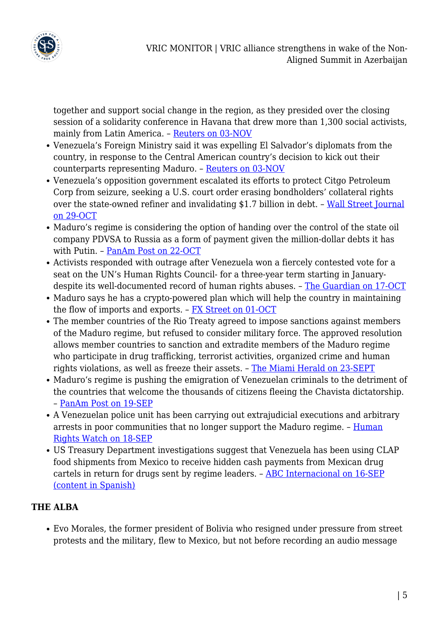

together and support social change in the region, as they presided over the closing session of a solidarity conference in Havana that drew more than 1,300 social activists, mainly from Latin America. – [Reuters on 03-NOV](https://www.reuters.com/article/us-cuba-usa/cuba-lashes-trump-issues-rallying-cry-to-fight-imperialism-idUSKBN1XE02N?utm_source=Today+in+Latin+America&utm_campaign=d3cdc8f7b6-EMAIL_CAMPAIGN_2019_11_05_01_25&utm_medium=email&utm_term=0_73d76ad46b-d3cdc8f7b6-101968427)

- Venezuela's Foreign Ministry said it was expelling El Salvador's diplomats from the country, in response to the Central American country's decision to kick out their counterparts representing Maduro. – [Reuters on 03-NOV](https://uk.reuters.com/article/uk-venezuela-el-salvador/venezuela-expels-el-salvadors-diplomats-in-reciprocal-move-idUKKBN1XD0DF)
- Venezuela's opposition government escalated its efforts to protect Citgo Petroleum Corp from seizure, seeking a U.S. court order erasing bondholders' collateral rights over the state-owned refiner and invalidating \$1.7 billion in debt. – [Wall Street Journal](https://www.wsj.com/articles/venezuelan-opposition-files-lawsuit-attacking-citgo-backed-bonds-11572391392) [on 29-OCT](https://www.wsj.com/articles/venezuelan-opposition-files-lawsuit-attacking-citgo-backed-bonds-11572391392)
- Maduro's regime is considering the option of handing over the control of the state oil company PDVSA to Russia as a form of payment given the million-dollar debts it has with Putin. – [PanAm Post on 22-OCT](https://panampost.com/sabrina-martin/2019/10/22/maduro-putin-pdvsa-russia/)
- Activists responded with outrage after Venezuela won a fiercely contested vote for a seat on the UN's Human Rights Council- for a three-year term starting in Januarydespite its well-documented record of human rights abuses. – [The Guardian on 17-OCT](https://www.theguardian.com/world/2019/oct/17/venezuela-un-human-rights-council-activists-outraged)
- Maduro says he has a crypto-powered plan which will help the country in maintaining the flow of imports and exports. - [FX Street on 01-OCT](https://www.fxstreet.com/cryptocurrencies/news/venezuelas-president-says-will-use-cryptocurrencies-for-payments-201910011900)
- The member countries of the Rio Treaty agreed to impose sanctions against members of the Maduro regime, but refused to consider military force. The approved resolution allows member countries to sanction and extradite members of the Maduro regime who participate in drug trafficking, terrorist activities, organized crime and human rights violations, as well as freeze their assets. – [The Miami Herald on 23-SEPT](https://www.miamiherald.com/news/nation-world/world/americas/venezuela/article235406667.html)
- Maduro's regime is pushing the emigration of Venezuelan criminals to the detriment of the countries that welcome the thousands of citizens fleeing the Chavista dictatorship. – [PanAm Post on 19-SEP](https://panampost.com/sabrina-martin/2019/09/18/maduro-promotes-criminals-leaving-venezuela/?cn-reloaded=1)
- A Venezuelan police unit has been carrying out extrajudicial executions and arbitrary arrests in poor communities that no longer support the Maduro regime. - [Human](https://www.hrw.org/news/2019/09/18/venezuela-extrajudicial-killings-poor-areas#) [Rights Watch on 18-SEP](https://www.hrw.org/news/2019/09/18/venezuela-extrajudicial-killings-poor-areas#)
- US Treasury Department investigations suggest that Venezuela has been using CLAP food shipments from Mexico to receive hidden cash payments from Mexican drug cartels in return for drugs sent by regime leaders. - [ABC Internacional on 16-SEP](https://www.abc.es/internacional/abci-lideres-chavistas-recibieron-dinero-narco-mexicano-costa-rica-201909152304_noticia.html) [\(content in Spanish\)](https://www.abc.es/internacional/abci-lideres-chavistas-recibieron-dinero-narco-mexicano-costa-rica-201909152304_noticia.html)

### **THE ALBA**

Evo Morales, the former president of Bolivia who resigned under pressure from street protests and the military, flew to Mexico, but not before recording an audio message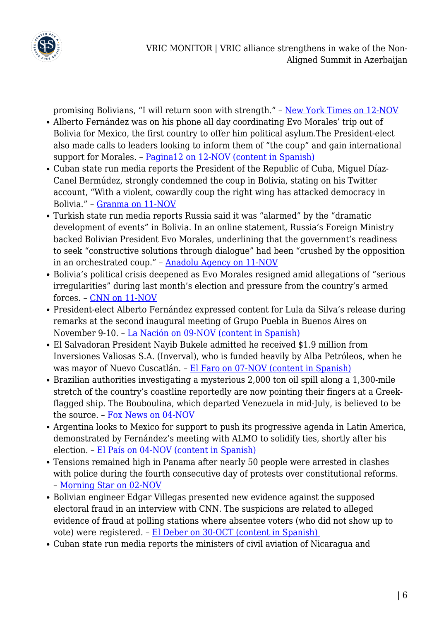

promising Bolivians, "I will return soon with strength." – [New York Times on 12-NOV](https://www.nytimes.com/2019/11/12/world/americas/evo-morales-mexico-bolivia.html)

- Alberto Fernández was on his phone all day coordinating Evo Morales' trip out of Bolivia for Mexico, the first country to offer him political asylum.The President-elect also made calls to leaders looking to inform them of "the coup" and gain international support for Morales. – [Pagina12 on 12-NOV \(content in Spanish\)](https://www.pagina12.com.ar/230515-las-gestiones-secretas-de-alberto-fernandez-para-sacar-a-evo)
- Cuban state run media reports the President of the Republic of Cuba, Miguel Díaz-Canel Bermúdez, strongly condemned the coup in Bolivia, stating on his Twitter account, "With a violent, cowardly coup the right wing has attacked democracy in Bolivia." – [Granma on 11-NOV](http://en.granma.cu/mundo/2019-11-11/cuba-condemns-coup-in-bolivia)
- Turkish state run media reports Russia said it was "alarmed" by the "dramatic development of events" in Bolivia. In an online statement, Russia's Foreign Ministry backed Bolivian President Evo Morales, underlining that the government's readiness to seek "constructive solutions through dialogue" had been "crushed by the opposition in an orchestrated coup." – [Anadolu Agency on 11-NOV](https://www.aa.com.tr/en/europe/russia-alarmed-over-situation-in-bolivia/1641626)
- Bolivia's political crisis deepened as Evo Morales resigned amid allegations of "serious irregularities" during last month's election and pressure from the country's armed forces. – [CNN on 11-NOV](https://www.cnn.com/2019/11/11/americas/bolivia-morales-resignation-q-and-a-intl/index.html)
- President-elect Alberto Fernández expressed content for Lula da Silva's release during remarks at the second inaugural meeting of Grupo Puebla in Buenos Aires on November 9-10. – [La Nación on 09-NOV \(content in Spanish\)](https://www.lanacion.com.ar/politica/alberto-fernandez-inauguro-cumbre-del-grupo-puebla-nid2305006)
- El Salvadoran President Nayib Bukele admitted he received \$1.9 million from Inversiones Valiosas S.A. (Inverval), who is funded heavily by Alba Petróleos, when he was mayor of Nuevo Cuscatlán. – [El Faro on 07-NOV \(content in Spanish\)](https://elfaro.net/es/201909/el_salvador/23647/Bukele-afirma-que-recibi%C3%B3-dinero-de-Alba-por-la-venta-de-TVX.htm)
- Brazilian authorities investigating a mysterious 2,000 ton oil spill along a 1,300-mile stretch of the country's coastline reportedly are now pointing their fingers at a Greekflagged ship. The Bouboulina, which departed Venezuela in mid-July, is believed to be the source. – [Fox News on 04-NOV](https://www.foxnews.com/world/mysterious-brazil-oil-spill-potential-source)
- Argentina looks to Mexico for support to push its progressive agenda in Latin America, demonstrated by Fernández's meeting with ALMO to solidify ties, shortly after his election. – [El País on 04-NOV \(content in Spanish\)](https://elpais.com/internacional/2019/11/03/argentina/1572800666_317061.html?utm_source=Today+in+Latin+America&utm_campaign=c95cf3aa7f-EMAIL_CAMPAIGN_2019_11_04_01_03&utm_medium=email&utm_term=0_73d76ad46b-c95cf3aa7f-101968427)
- Tensions remained high in Panama after nearly 50 people were arrested in clashes with police during the fourth consecutive day of protests over constitutional reforms. – [Morning Star on 02-NOV](https://morningstaronline.co.uk/article/almost-50-arrested-after-protests-panama)
- Bolivian engineer Edgar Villegas presented new evidence against the supposed electoral fraud in an interview with CNN. The suspicions are related to alleged evidence of fraud at polling stations where absentee voters (who did not show up to vote) were registered. – [El Deber on 30-OCT \(content in Spanish\)](https://www.eldeber.com.bo/154979_villegas-presenta-nueva-denuncia-de-irregularidades-en-las-actas)
- Cuban state run media reports the ministers of civil aviation of Nicaragua and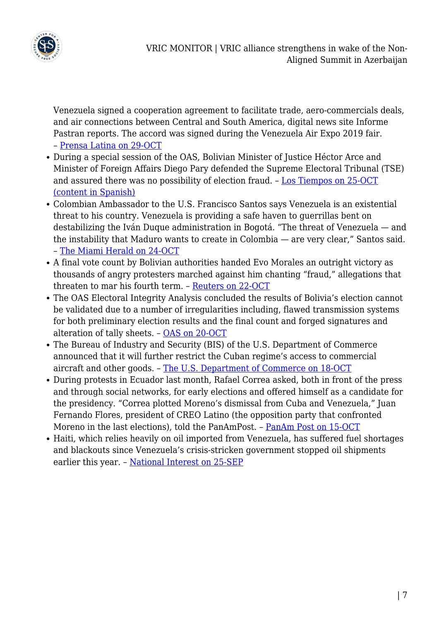

Venezuela signed a cooperation agreement to facilitate trade, aero-commercials deals, and air connections between Central and South America, digital news site Informe Pastran reports. The accord was signed during the Venezuela Air Expo 2019 fair. – [Prensa Latina on 29-OCT](https://www.plenglish.com/index.php?o=rn&id=48409&SEO=nicaragua-venezuela-sign-air-cooperation-agreement)

- During a special session of the OAS, Bolivian Minister of Justice Héctor Arce and Minister of Foreign Affairs Diego Pary defended the Supreme Electoral Tribunal (TSE) and assured there was no possibility of election fraud. – [Los Tiempos on 25-OCT](https://www.lostiempos.com/actualidad/pais/20191025/pary-arce-defienden-al-tse-oea-dicen-que-no-hay-fraude) [\(content in Spanish\)](https://www.lostiempos.com/actualidad/pais/20191025/pary-arce-defienden-al-tse-oea-dicen-que-no-hay-fraude)
- Colombian Ambassador to the U.S. Francisco Santos says Venezuela is an existential threat to his country. Venezuela is providing a safe haven to guerrillas bent on destabilizing the Iván Duque administration in Bogotá. "The threat of Venezuela — and the instability that Maduro wants to create in Colombia — are very clear," Santos said. – [The Miami Herald on 24-OCT](https://www.miamiherald.com/news/nation-world/world/americas/colombia/article236560518.html)
- A final vote count by Bolivian authorities handed Evo Morales an outright victory as thousands of angry protesters marched against him chanting "fraud," allegations that threaten to mar his fourth term. – [Reuters on 22-OCT](https://uk.reuters.com/article/uk-bolivia-election/bolivias-morales-chides-oas-defends-disputed-vote-win-idUKKBN1X11ST?rpc=401&)
- The OAS Electoral Integrity Analysis concluded the results of Bolivia's election cannot be validated due to a number of irregularities including, flawed transmission systems for both preliminary election results and the final count and forged signatures and alteration of tally sheets. – [OAS on 20-OCT](http://www.oas.org/documents/eng/press/Electoral-Integrity-Analysis-Bolivia2019.pdf)
- The Bureau of Industry and Security (BIS) of the U.S. Department of Commerce announced that it will further restrict the Cuban regime's access to commercial aircraft and other goods. – [The U.S. Department of Commerce on 18-OCT](https://www.commerce.gov/news/press-releases/2019/10/us-department-commerce-further-tightens-cuba-sanctions)
- During protests in Ecuador last month, Rafael Correa asked, both in front of the press and through social networks, for early elections and offered himself as a candidate for the presidency. "Correa plotted Moreno's dismissal from Cuba and Venezuela," Juan Fernando Flores, president of CREO Latino (the opposition party that confronted Moreno in the last elections), told the PanAmPost. – [PanAm Post on 15-OCT](https://panampost.com/mamela-fiallo/2019/10/15/correa-plotted-morenos-removal-from-cuba-and-venezuela/)
- Haiti, which relies heavily on oil imported from Venezuela, has suffered fuel shortages and blackouts since Venezuela's crisis-stricken government stopped oil shipments earlier this year. – [National Interest on 25-SEP](https://nationalinterest.org/blog/buzz/gas-shortages-paralyze-haiti-triggering-protests-against-failing-economy-and-dysfunctional)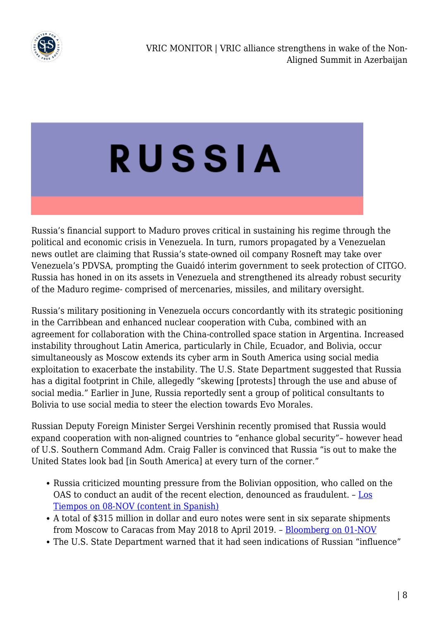

VRIC MONITOR | VRIC alliance strengthens in wake of the Non-Aligned Summit in Azerbaijan

# RUSSIA

Russia's financial support to Maduro proves critical in sustaining his regime through the political and economic crisis in Venezuela. In turn, rumors propagated by a Venezuelan news outlet are claiming that Russia's state-owned oil company Rosneft may take over Venezuela's PDVSA, prompting the Guaidó interim government to seek protection of CITGO. Russia has honed in on its assets in Venezuela and strengthened its already robust security of the Maduro regime- comprised of mercenaries, missiles, and military oversight.

Russia's military positioning in Venezuela occurs concordantly with its strategic positioning in the Carribbean and enhanced nuclear cooperation with Cuba, combined with an agreement for collaboration with the China-controlled space station in Argentina. Increased instability throughout Latin America, particularly in Chile, Ecuador, and Bolivia, occur simultaneously as Moscow extends its cyber arm in South America using social media exploitation to exacerbate the instability. The U.S. State Department suggested that Russia has a digital footprint in Chile, allegedly "skewing [protests] through the use and abuse of social media." Earlier in June, Russia reportedly sent a group of political consultants to Bolivia to use social media to steer the election towards Evo Morales.

Russian Deputy Foreign Minister Sergei Vershinin recently promised that Russia would expand cooperation with non-aligned countries to "enhance global security"– however head of U.S. Southern Command Adm. Craig Faller is convinced that Russia "is out to make the United States look bad [in South America] at every turn of the corner."

- Russia criticized mounting pressure from the Bolivian opposition, who called on the OAS to conduct an audit of the recent election, denounced as fraudulent. – [Los](https://www.lostiempos.com/actualidad/pais/20191108/moscu-llama-no-presionar-auditoria-oea-elecciones-bolivia) [Tiempos on 08-NOV \(content in Spanish\)](https://www.lostiempos.com/actualidad/pais/20191108/moscu-llama-no-presionar-auditoria-oea-elecciones-bolivia)
- A total of \$315 million in dollar and euro notes were sent in six separate shipments from Moscow to Caracas from May 2018 to April 2019. – [Bloomberg on 01-NOV](https://www.bloomberg.com/news/articles/2019-11-01/planeloads-of-cash-from-russia-have-been-shipped-to-venezuela)
- The U.S. State Department warned that it had seen indications of Russian "influence"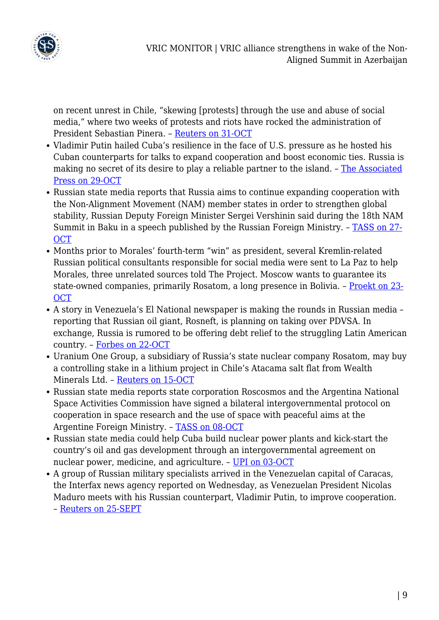

on recent unrest in Chile, "skewing [protests] through the use and abuse of social media," where two weeks of protests and riots have rocked the administration of President Sebastian Pinera. – [Reuters on 31-OCT](https://www.reuters.com/article/us-chile-protests-russia/u-s-warns-russian-trolls-stoking-conflict-in-chile-idUSKBN1XA2QR)

- Vladimir Putin hailed Cuba's resilience in the face of U.S. pressure as he hosted his Cuban counterparts for talks to expand cooperation and boost economic ties. Russia is making no secret of its desire to play a reliable partner to the island. – [The Associated](https://apnews.com/d2e58fa79c2f406c9c126c4cd46f4ef8) [Press on 29-OCT](https://apnews.com/d2e58fa79c2f406c9c126c4cd46f4ef8)
- Russian state media reports that Russia aims to continue expanding cooperation with the Non-Alignment Movement (NAM) member states in order to strengthen global stability, Russian Deputy Foreign Minister Sergei Vershinin said during the 18th NAM Summit in Baku in a speech published by the Russian Foreign Ministry. – [TASS on 27-](https://tass.com/politics/1085489) **[OCT](https://tass.com/politics/1085489)**
- Months prior to Morales' fourth-term "win" as president, several Kremlin-related Russian political consultants responsible for social media were sent to La Paz to help Morales, three unrelated sources told The Project. Moscow wants to guarantee its state-owned companies, primarily Rosatom, a long presence in Bolivia. – [Proekt on 23-](https://www.proekt.media/investigation/morales-rosatom-eng/) **[OCT](https://www.proekt.media/investigation/morales-rosatom-eng/)**
- A story in Venezuela's El National newspaper is making the rounds in Russian media reporting that Russian oil giant, Rosneft, is planning on taking over PDVSA. In exchange, Russia is rumored to be offering debt relief to the struggling Latin American country. – [Forbes on 22-OCT](https://www.forbes.com/sites/arielcohen/2019/10/22/russia-attempts-to-take-over-venezuelan-oil-creating-a-challenge-for-the-us/#4387f3ac38ef)
- Uranium One Group, a subsidiary of Russia's state nuclear company Rosatom, may buy a controlling stake in a lithium project in Chile's Atacama salt flat from Wealth Minerals Ltd. – [Reuters on 15-OCT](https://www.reuters.com/article/us-chile-lithium-russia/russias-rosatom-may-buy-controlling-stake-in-chile-lithium-project-idUSKBN1WU1MI)
- Russian state media reports state corporation Roscosmos and the Argentina National Space Activities Commission have signed a bilateral intergovernmental protocol on cooperation in space research and the use of space with peaceful aims at the Argentine Foreign Ministry. – [TASS on 08-OCT](https://tass.com/science/1082101)
- Russian state media could help Cuba build nuclear power plants and kick-start the country's oil and gas development through an intergovernmental agreement on nuclear power, medicine, and agriculture. - [UPI on 03-OCT](https://www.upi.com/Top_News/World-News/2019/10/03/Russian-plan-would-kick-start-Cubas-nuclear-ambitions-oil-and-gas-drilling/8901570110647/)
- A group of Russian military specialists arrived in the Venezuelan capital of Caracas, the Interfax news agency reported on Wednesday, as Venezuelan President Nicolas Maduro meets with his Russian counterpart, Vladimir Putin, to improve cooperation. – [Reuters on 25-SEPT](https://uk.reuters.com/article/uk-russia-venezuela-specialists-idUKKBN1WA1BL)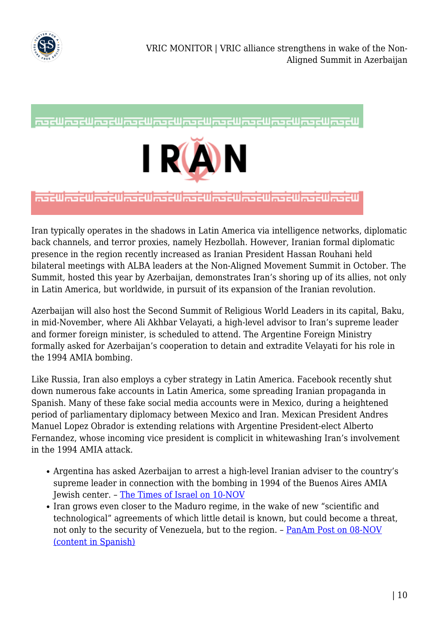

# 



# mont when the character when twitter that the character when twitter the

Iran typically operates in the shadows in Latin America via intelligence networks, diplomatic back channels, and terror proxies, namely Hezbollah. However, Iranian formal diplomatic presence in the region recently increased as Iranian President Hassan Rouhani held bilateral meetings with ALBA leaders at the Non-Aligned Movement Summit in October. The Summit, hosted this year by Azerbaijan, demonstrates Iran's shoring up of its allies, not only in Latin America, but worldwide, in pursuit of its expansion of the Iranian revolution.

Azerbaijan will also host the Second Summit of Religious World Leaders in its capital, Baku, in mid-November, where Ali Akhbar Velayati, a high-level advisor to Iran's supreme leader and former foreign minister, is scheduled to attend. The Argentine Foreign Ministry formally asked for Azerbaijan's cooperation to detain and extradite Velayati for his role in the 1994 AMIA bombing.

Like Russia, Iran also employs a cyber strategy in Latin America. Facebook recently shut down numerous fake accounts in Latin America, some spreading Iranian propaganda in Spanish. Many of these fake social media accounts were in Mexico, during a heightened period of parliamentary diplomacy between Mexico and Iran. Mexican President Andres Manuel Lopez Obrador is extending relations with Argentine President-elect Alberto Fernandez, whose incoming vice president is complicit in whitewashing Iran's involvement in the 1994 AMIA attack.

- Argentina has asked Azerbaijan to arrest a high-level Iranian adviser to the country's supreme leader in connection with the bombing in 1994 of the Buenos Aires AMIA Jewish center. – [The Times of Israel on 10-NOV](https://www.timesofisrael.com/argentina-asks-azerbaijan-to-arrest-iranian-suspect-in-jewish-center-bombing/)
- Iran grows even closer to the Maduro regime, in the wake of new "scientific and technological" agreements of which little detail is known, but could become a threat, not only to the security of Venezuela, but to the region. – [PanAm Post on 08-NOV](https://es.panampost.com/sabrina-martin/2019/11/08/venezuela-e-iran-firman-acuerdo-que-afectaria-la-seguridad-de-la-region/) [\(content in Spanish\)](https://es.panampost.com/sabrina-martin/2019/11/08/venezuela-e-iran-firman-acuerdo-que-afectaria-la-seguridad-de-la-region/)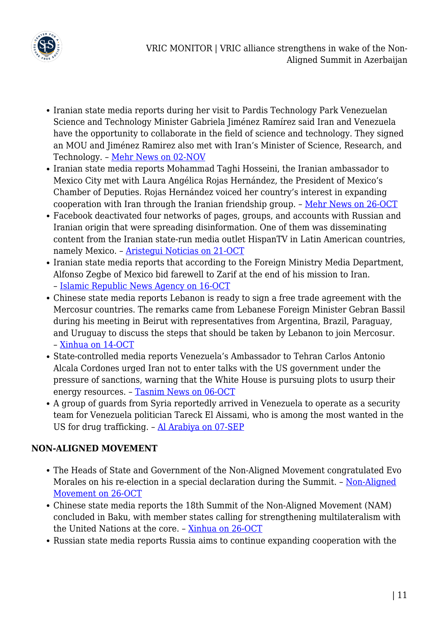

- Iranian state media reports during her visit to Pardis Technology Park Venezuelan Science and Technology Minister Gabriela Jiménez Ramírez said Iran and Venezuela have the opportunity to collaborate in the field of science and technology. They signed an MOU and Jiménez Ramirez also met with Iran's Minister of Science, Research, and Technology. – [Mehr News on 02-NOV](https://en.mehrnews.com/news/151840/Iran-Venezuela-to-coop-on-science-technology)
- Iranian state media reports Mohammad Taghi Hosseini, the Iranian ambassador to Mexico City met with Laura Angélica Rojas Hernández, the President of Mexico's Chamber of Deputies. Rojas Hernández voiced her country's interest in expanding cooperation with Iran through the Iranian friendship group. – [Mehr News on 26-OCT](https://en.mehrnews.com/news/151602/Iran-Mexico-cooperation-on-upward-trajectory-envoy)
- Facebook deactivated four networks of pages, groups, and accounts with Russian and Iranian origin that were spreading disinformation. One of them was disseminating content from the Iranian state-run media outlet HispanTV in Latin American countries, namely Mexico. – [Aristegui Noticias on 21-OCT](https://aristeguinoticias.com/2110/mundo/facebook-desmantela-4-redes-de-desinformacion-con-origen-en-iran-y-rusia/)
- Iranian state media reports that according to the Foreign Ministry Media Department, Alfonso Zegbe of Mexico bid farewell to Zarif at the end of his mission to Iran. – [Islamic Republic News Agency on 16-OCT](https://en.irna.ir/news/83520654/Mexican-envoy-meets-Zarif-bids-farewell)
- Chinese state media reports Lebanon is ready to sign a free trade agreement with the Mercosur countries. The remarks came from Lebanese Foreign Minister Gebran Bassil during his meeting in Beirut with representatives from Argentina, Brazil, Paraguay, and Uruguay to discuss the steps that should be taken by Lebanon to join Mercosur. – [Xinhua on 14-OCT](http://www.xinhuanet.com/english/2019-10/14/c_138471400.htm)
- State-controlled media reports Venezuela's Ambassador to Tehran Carlos Antonio Alcala Cordones urged Iran not to enter talks with the US government under the pressure of sanctions, warning that the White House is pursuing plots to usurp their energy resources. – [Tasnim News on 06-OCT](https://www.tasnimnews.com/en/news/2019/10/06/2109176/venezuela-envoy-in-iran-warns-against-talks-under-pressure-with-us)
- A group of guards from Syria reportedly arrived in Venezuela to operate as a security team for Venezuela politician Tareck El Aissami, who is among the most wanted in the US for drug trafficking. – [Al Arabiya on 07-SEP](http://english.alarabiya.net/en/News/world/2019/09/07/Syrians-arrive-in-Venezuela-to-guard-minister-wanted-by-the-US-Report.html)

### **NON-ALIGNED MOVEMENT**

- The Heads of State and Government of the Non-Aligned Movement congratulated Evo Morales on his re-election in a special declaration during the Summit. - [Non-Aligned](https://twitter.com/evoespueblo/status/1188218954432548864?s=20) [Movement on 26-OCT](https://twitter.com/evoespueblo/status/1188218954432548864?s=20)
- Chinese state media reports the 18th Summit of the Non-Aligned Movement (NAM) concluded in Baku, with member states calling for strengthening multilateralism with the United Nations at the core. – [Xinhua on 26-OCT](http://www.xinhuanet.com/english/2019-10/27/c_138506411.htm)
- Russian state media reports Russia aims to continue expanding cooperation with the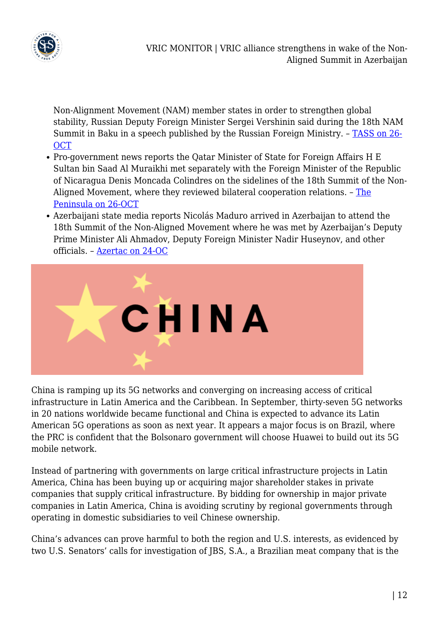

Non-Alignment Movement (NAM) member states in order to strengthen global stability, Russian Deputy Foreign Minister Sergei Vershinin said during the 18th NAM Summit in Baku in a speech published by the Russian Foreign Ministry. – [TASS on 26-](https://tass.com/politics/1085489) **[OCT](https://tass.com/politics/1085489)** 

- Pro-government news reports the Oatar Minister of State for Foreign Affairs H E Sultan bin Saad Al Muraikhi met separately with the Foreign Minister of the Republic of Nicaragua Denis Moncada Colindres on the sidelines of the 18th Summit of the Non-Aligned Movement, where they reviewed bilateral cooperation relations. - [The](https://thepeninsulaqatar.com/article/26/10/2019/Qatar-reviews-ties-with-Lesotho,-Nicaragua) [Peninsula on 26-OCT](https://thepeninsulaqatar.com/article/26/10/2019/Qatar-reviews-ties-with-Lesotho,-Nicaragua)
- Azerbaijani state media reports Nicolás Maduro arrived in Azerbaijan to attend the 18th Summit of the Non-Aligned Movement where he was met by Azerbaijan's Deputy Prime Minister Ali Ahmadov, Deputy Foreign Minister Nadir Huseynov, and other officials. – [Azertac on 24-OC](https://azertag.az/en/xeber/Venezuelan_President_Nicolas_Maduro_embarks_on_Azerbaijan_visit-1347054)



China is ramping up its 5G networks and converging on increasing access of critical infrastructure in Latin America and the Caribbean. In September, thirty-seven 5G networks in 20 nations worldwide became functional and China is expected to advance its Latin American 5G operations as soon as next year. It appears a major focus is on Brazil, where the PRC is confident that the Bolsonaro government will choose Huawei to build out its 5G mobile network.

Instead of partnering with governments on large critical infrastructure projects in Latin America, China has been buying up or acquiring major shareholder stakes in private companies that supply critical infrastructure. By bidding for ownership in major private companies in Latin America, China is avoiding scrutiny by regional governments through operating in domestic subsidiaries to veil Chinese ownership.

China's advances can prove harmful to both the region and U.S. interests, as evidenced by two U.S. Senators' calls for investigation of JBS, S.A., a Brazilian meat company that is the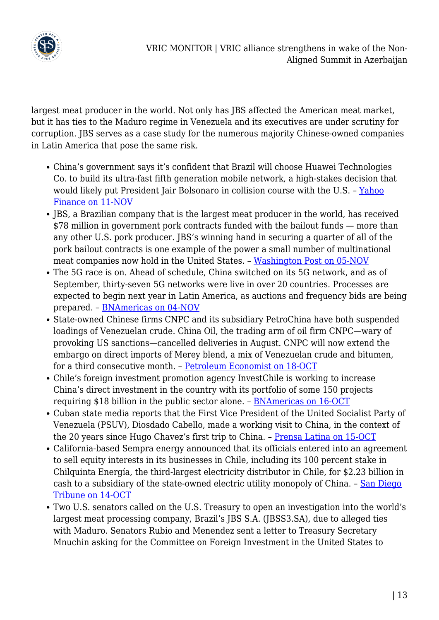

largest meat producer in the world. Not only has JBS affected the American meat market, but it has ties to the Maduro regime in Venezuela and its executives are under scrutiny for corruption. JBS serves as a case study for the numerous majority Chinese-owned companies in Latin America that pose the same risk.

- China's government says it's confident that Brazil will choose Huawei Technologies Co. to build its ultra-fast fifth generation mobile network, a high-stakes decision that would likely put President Jair Bolsonaro in collision course with the U.S. – [Yahoo](https://finance.yahoo.com/news/china-confident-huawei-build-brazil-100000093.html) [Finance on 11-NOV](https://finance.yahoo.com/news/china-confident-huawei-build-brazil-100000093.html)
- JBS, a Brazilian company that is the largest meat producer in the world, has received \$78 million in government pork contracts funded with the bailout funds — more than any other U.S. pork producer. JBS's winning hand in securing a quarter of all of the pork bailout contracts is one example of the power a small number of multinational meat companies now hold in the United States. – [Washington Post on 05-NOV](https://www.washingtonpost.com/politics/this-foreign-meat-company-got-us-tax-money-now-it-wants-to-conquer-america/2019/11/04/854836ae-eae5-11e9-9306-47cb0324fd44_story.html)
- The 5G race is on. Ahead of schedule, China switched on its 5G network, and as of September, thirty-seven 5G networks were live in over 20 countries. Processes are expected to begin next year in Latin America, as auctions and frequency bids are being prepared. – [BNAmericas on 04-NOV](https://www.bnamericas.com/en/news/the-latam-5g-tenders-roadmap)
- State-owned Chinese firms CNPC and its subsidiary PetroChina have both suspended loadings of Venezuelan crude. China Oil, the trading arm of oil firm CNPC—wary of provoking US sanctions—cancelled deliveries in August. CNPC will now extend the embargo on direct imports of Merey blend, a mix of Venezuelan crude and bitumen, for a third consecutive month. – [Petroleum Economist on 18-OCT](https://www.petroleum-economist.com/articles/politics-economics/south-central-america/2019/china-spurns-venezuelan-exports)
- Chile's foreign investment promotion agency InvestChile is working to increase China's direct investment in the country with its portfolio of some 150 projects requiring \$18 billion in the public sector alone. – [BNAmericas on 16-OCT](https://www.bnamericas.com/en/news/chile-wooing-china-with-us18bn-in-public-sector-projects)
- Cuban state media reports that the First Vice President of the United Socialist Party of Venezuela (PSUV), Diosdado Cabello, made a working visit to China, in the context of the 20 years since Hugo Chavez's first trip to China. - [Prensa Latina on 15-OCT](https://www.plenglish.com/index.php?o=rn&id=47939&SEO=diosdado-cabello-on-working-visit-to-china)
- California-based Sempra energy announced that its officials entered into an agreement to sell equity interests in its businesses in Chile, including its 100 percent stake in Chilquinta Energía, the third-largest electricity distributor in Chile, for \$2.23 billion in cash to a subsidiary of the state-owned electric utility monopoly of China. - [San Diego](https://www.sandiegouniontribune.com/business/energy-green/story/2019-10-14/sempra-sells-subsidiary-in-chile-to-grid-company-in-china-for-2-33-billion) [Tribune on 14-OCT](https://www.sandiegouniontribune.com/business/energy-green/story/2019-10-14/sempra-sells-subsidiary-in-chile-to-grid-company-in-china-for-2-33-billion)
- Two U.S. senators called on the U.S. Treasury to open an investigation into the world's largest meat processing company, Brazil's JBS S.A. (JBSS3.SA), due to alleged ties with Maduro. Senators Rubio and Menendez sent a letter to Treasury Secretary Mnuchin asking for the Committee on Foreign Investment in the United States to